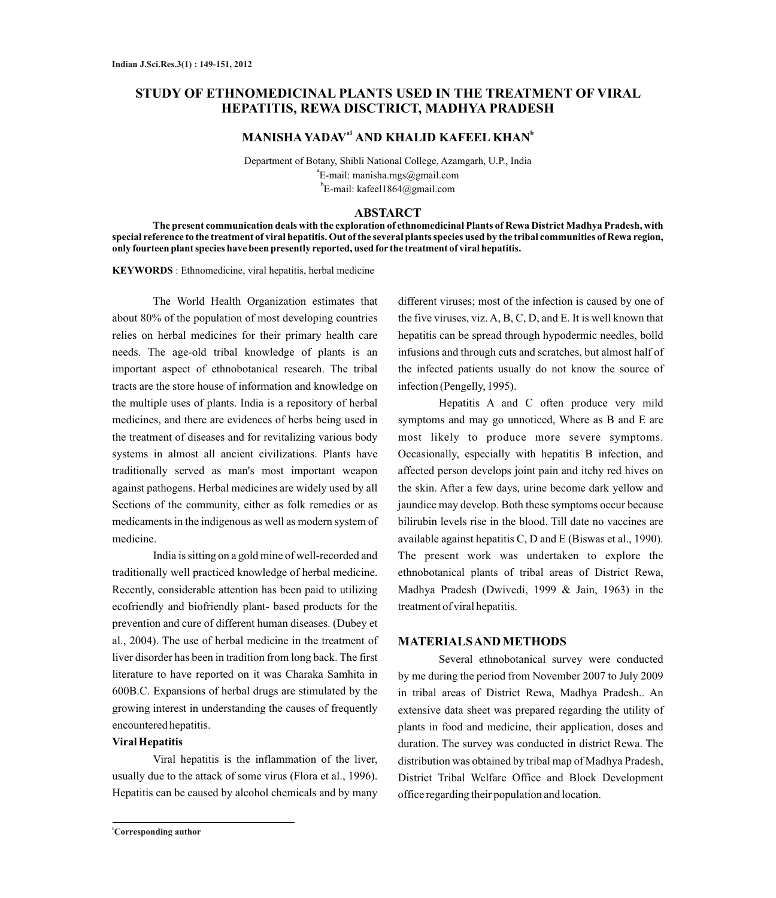# **STUDY OF ETHNOMEDICINAL PLANTS USED IN THE TREATMENT OF VIRAL HEPATITIS, REWA DISCTRICT, MADHYA PRADESH**

## **MANISHA YADAV<sup>a1</sup> AND KHALID KAFEEL KHAN<sup>b</sup>**

Department of Botany, Shibli National College, Azamgarh, U.P., India a E-mail: manisha.mgs@gmail.com  ${}^{\text{b}}$ E-mail: kafeel1864@gmail.com

## **ABSTARCT**

**The present communication deals with the exploration of ethnomedicinal Plants of Rewa District Madhya Pradesh, with special reference to the treatment of viral hepatitis. Out of the several plants species used by the tribal communities of Rewa region, only fourteen plant species have been presently reported, used for the treatment of viral hepatitis.**

**KEYWORDS** : Ethnomedicine, viral hepatitis, herbal medicine

The World Health Organization estimates that about 80% of the population of most developing countries relies on herbal medicines for their primary health care needs. The age-old tribal knowledge of plants is an important aspect of ethnobotanical research. The tribal tracts are the store house of information and knowledge on the multiple uses of plants. India is a repository of herbal medicines, and there are evidences of herbs being used in the treatment of diseases and for revitalizing various body systems in almost all ancient civilizations. Plants have traditionally served as man's most important weapon against pathogens. Herbal medicines are widely used by all Sections of the community, either as folk remedies or as medicaments in the indigenous as well as modern system of medicine.

India is sitting on a gold mine of well-recorded and traditionally well practiced knowledge of herbal medicine. Recently, considerable attention has been paid to utilizing ecofriendly and biofriendly plant- based products for the prevention and cure of different human diseases. (Dubey et al., 2004). The use of herbal medicine in the treatment of liver disorder has been in tradition from long back. The first literature to have reported on it was Charaka Samhita in 600B.C. Expansions of herbal drugs are stimulated by the growing interest in understanding the causes of frequently encountered hepatitis.

#### **Viral Hepatitis**

Viral hepatitis is the inflammation of the liver, usually due to the attack of some virus (Flora et al., 1996). Hepatitis can be caused by alcohol chemicals and by many

different viruses; most of the infection is caused by one of the five viruses, viz. A, B, C, D, and E. It is well known that hepatitis can be spread through hypodermic needles, bolld infusions and through cuts and scratches, but almost half of the infected patients usually do not know the source of infection (Pengelly, 1995).

Hepatitis A and C often produce very mild symptoms and may go unnoticed, Where as B and E are most likely to produce more severe symptoms. Occasionally, especially with hepatitis B infection, and affected person develops joint pain and itchy red hives on the skin. After a few days, urine become dark yellow and jaundice may develop. Both these symptoms occur because bilirubin levels rise in the blood. Till date no vaccines are available against hepatitis C, D and E (Biswas et al., 1990). The present work was undertaken to explore the ethnobotanical plants of tribal areas of District Rewa, Madhya Pradesh (Dwivedi, 1999 & Jain, 1963) in the treatment of viral hepatitis.

## **MATERIALS AND METHODS**

Several ethnobotanical survey were conducted by me during the period from November 2007 to July 2009 in tribal areas of District Rewa, Madhya Pradesh.. An extensive data sheet was prepared regarding the utility of plants in food and medicine, their application, doses and duration. The survey was conducted in district Rewa. The distribution was obtained by tribal map of Madhya Pradesh, District Tribal Welfare Office and Block Development office regarding their population and location.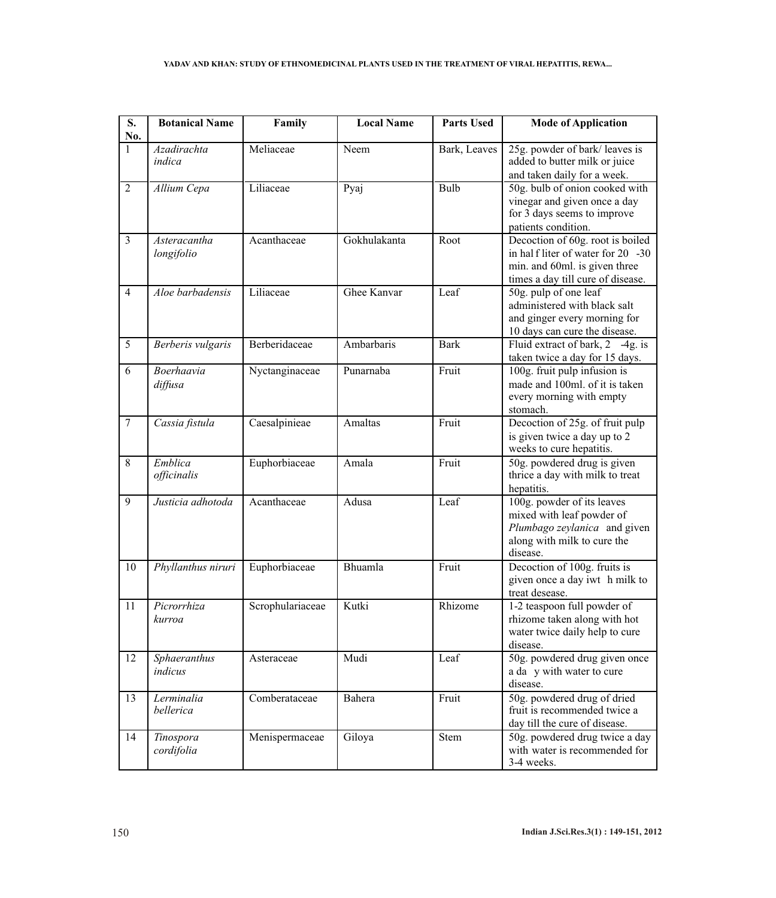| S.<br>No.        | <b>Botanical Name</b>      | Family           | <b>Local Name</b> | <b>Parts Used</b> | <b>Mode of Application</b>                                                                                                                  |
|------------------|----------------------------|------------------|-------------------|-------------------|---------------------------------------------------------------------------------------------------------------------------------------------|
| $\mathbf{1}$     | Azadirachta<br>indica      | Meliaceae        | Neem              | Bark, Leaves      | 25g. powder of bark/leaves is<br>added to butter milk or juice<br>and taken daily for a week.                                               |
| $\overline{2}$   | Allium Cepa                | Liliaceae        | Pyaj              | <b>Bulb</b>       | 50g. bulb of onion cooked with<br>vinegar and given once a day<br>for 3 days seems to improve<br>patients condition.                        |
| $\overline{3}$   | Asteracantha<br>longifolio | Acanthaceae      | Gokhulakanta      | Root              | Decoction of 60g. root is boiled<br>in half liter of water for 20 -30<br>min. and 60ml. is given three<br>times a day till cure of disease. |
| $\overline{4}$   | Aloe barbadensis           | Liliaceae        | Ghee Kanvar       | Leaf              | 50g. pulp of one leaf<br>administered with black salt<br>and ginger every morning for<br>10 days can cure the disease.                      |
| 5                | Berberis vulgaris          | Berberidaceae    | Ambarbaris        | <b>Bark</b>       | Fluid extract of bark, 2 -4g. is<br>taken twice a day for 15 days.                                                                          |
| 6                | Boerhaavia<br>diffusa      | Nyctanginaceae   | Punarnaba         | Fruit             | 100g. fruit pulp infusion is<br>made and 100ml, of it is taken<br>every morning with empty<br>stomach.                                      |
| $\boldsymbol{7}$ | Cassia fistula             | Caesalpinieae    | Amaltas           | Fruit             | Decoction of 25g. of fruit pulp<br>is given twice a day up to 2<br>weeks to cure hepatitis.                                                 |
| 8                | Emblica<br>officinalis     | Euphorbiaceae    | Amala             | Fruit             | 50g. powdered drug is given<br>thrice a day with milk to treat<br>hepatitis.                                                                |
| 9                | Justicia adhotoda          | Acanthaceae      | Adusa             | Leaf              | 100g. powder of its leaves<br>mixed with leaf powder of<br>Plumbago zeylanica and given<br>along with milk to cure the<br>disease.          |
| 10               | Phyllanthus niruri         | Euphorbiaceae    | Bhuamla           | Fruit             | Decoction of 100g. fruits is<br>given once a day iwt h milk to<br>treat desease.                                                            |
| 11               | Picrorrhiza<br>kurroa      | Scrophulariaceae | Kutki             | Rhizome           | 1-2 teaspoon full powder of<br>rhizome taken along with hot<br>water twice daily help to cure<br>disease.                                   |
| 12               | Sphaeranthus<br>indicus    | Asteraceae       | Mudi              | Leaf              | 50g. powdered drug given once<br>a da y with water to cure<br>disease.                                                                      |
| 13               | Lerminalia<br>bellerica    | Comberataceae    | Bahera            | Fruit             | 50g. powdered drug of dried<br>fruit is recommended twice a<br>day till the cure of disease.                                                |
| 14               | Tinospora<br>cordifolia    | Menispermaceae   | Giloya            | <b>Stem</b>       | 50g. powdered drug twice a day<br>with water is recommended for<br>3-4 weeks.                                                               |